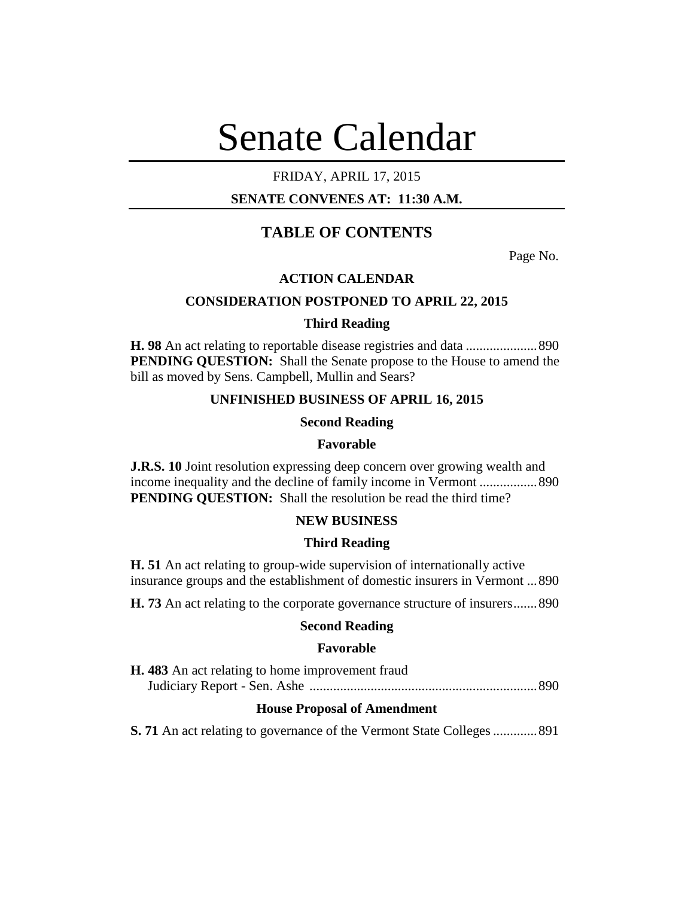# Senate Calendar

# FRIDAY, APRIL 17, 2015

# **SENATE CONVENES AT: 11:30 A.M.**

# **TABLE OF CONTENTS**

Page No.

## **ACTION CALENDAR**

## **CONSIDERATION POSTPONED TO APRIL 22, 2015**

## **Third Reading**

**H. 98** An act relating to reportable disease registries and data .....................890 **PENDING QUESTION:** Shall the Senate propose to the House to amend the bill as moved by Sens. Campbell, Mullin and Sears?

## **UNFINISHED BUSINESS OF APRIL 16, 2015**

## **Second Reading**

#### **Favorable**

**J.R.S. 10** Joint resolution expressing deep concern over growing wealth and income inequality and the decline of family income in Vermont .................890 **PENDING QUESTION:** Shall the resolution be read the third time?

## **NEW BUSINESS**

#### **Third Reading**

**H. 51** An act relating to group-wide supervision of internationally active insurance groups and the establishment of domestic insurers in Vermont ...890

**H. 73** An act relating to the corporate governance structure of insurers.......890

## **Second Reading**

#### **Favorable**

| <b>H.</b> 483 An act relating to home improvement fraud |  |
|---------------------------------------------------------|--|
|                                                         |  |

## **House Proposal of Amendment**

**S. 71** An act relating to governance of the Vermont State Colleges.............891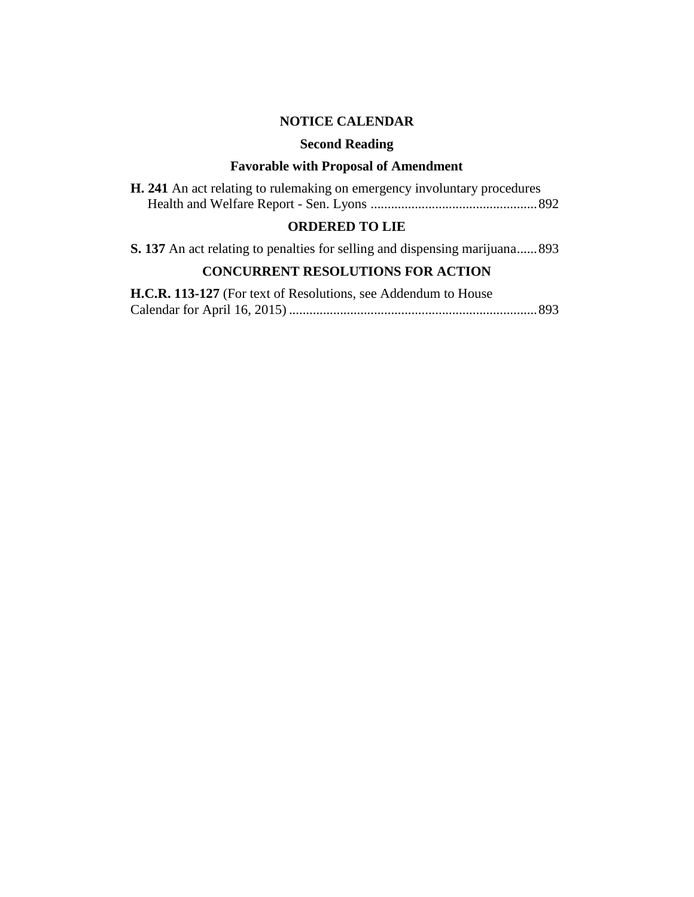## **NOTICE CALENDAR**

#### **Second Reading**

## **Favorable with Proposal of Amendment**

**H. 241** An act relating to rulemaking on emergency involuntary procedures Health and Welfare Report - Sen. Lyons .................................................892

# **ORDERED TO LIE**

**S. 137** An act relating to penalties for selling and dispensing marijuana......893

# **CONCURRENT RESOLUTIONS FOR ACTION**

**H.C.R. 113-127** (For text of Resolutions, see Addendum to House Calendar for April 16, 2015) .........................................................................893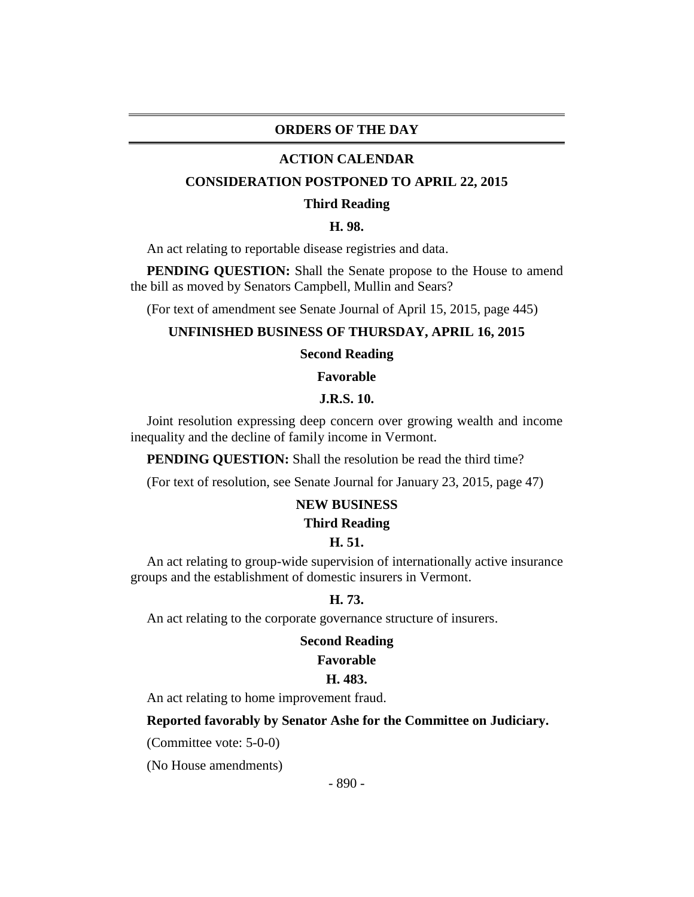## **ORDERS OF THE DAY**

#### **ACTION CALENDAR**

#### **CONSIDERATION POSTPONED TO APRIL 22, 2015**

#### **Third Reading**

## **H. 98.**

An act relating to reportable disease registries and data.

**PENDING QUESTION:** Shall the Senate propose to the House to amend the bill as moved by Senators Campbell, Mullin and Sears?

(For text of amendment see Senate Journal of April 15, 2015, page 445)

#### **UNFINISHED BUSINESS OF THURSDAY, APRIL 16, 2015**

#### **Second Reading**

**Favorable**

#### **J.R.S. 10.**

Joint resolution expressing deep concern over growing wealth and income inequality and the decline of family income in Vermont.

**PENDING QUESTION:** Shall the resolution be read the third time?

(For text of resolution, see Senate Journal for January 23, 2015, page 47)

## **NEW BUSINESS**

#### **Third Reading**

#### **H. 51.**

An act relating to group-wide supervision of internationally active insurance groups and the establishment of domestic insurers in Vermont.

#### **H. 73.**

An act relating to the corporate governance structure of insurers.

#### **Second Reading**

#### **Favorable**

#### **H. 483.**

An act relating to home improvement fraud.

#### **Reported favorably by Senator Ashe for the Committee on Judiciary.**

(Committee vote: 5-0-0)

(No House amendments)

- 890 -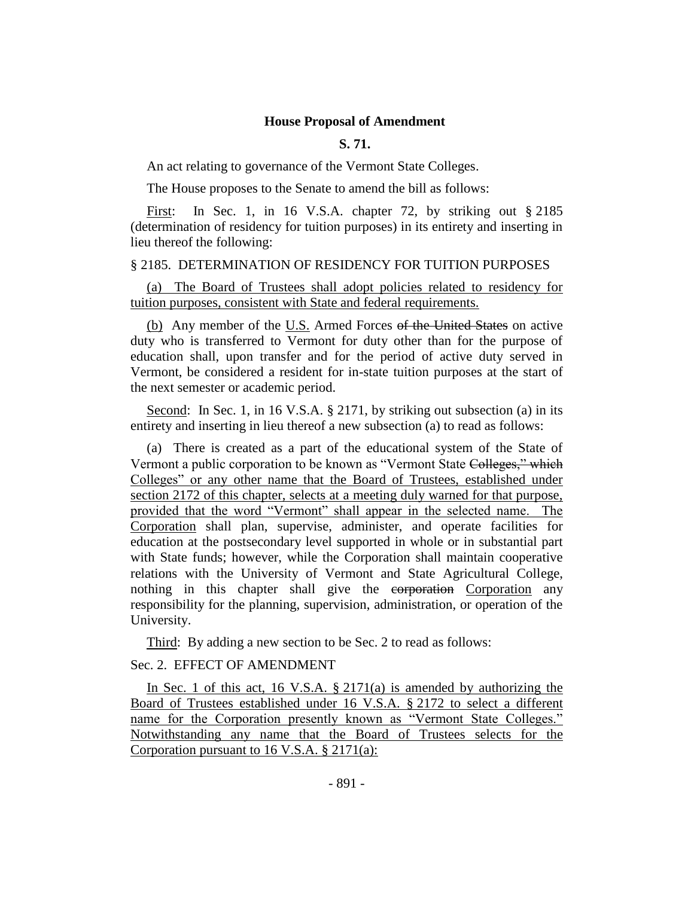#### **House Proposal of Amendment**

#### **S. 71.**

An act relating to governance of the Vermont State Colleges.

The House proposes to the Senate to amend the bill as follows:

First: In Sec. 1, in 16 V.S.A. chapter 72, by striking out § 2185 (determination of residency for tuition purposes) in its entirety and inserting in lieu thereof the following:

## § 2185. DETERMINATION OF RESIDENCY FOR TUITION PURPOSES

(a) The Board of Trustees shall adopt policies related to residency for tuition purposes, consistent with State and federal requirements.

(b) Any member of the U.S. Armed Forces of the United States on active duty who is transferred to Vermont for duty other than for the purpose of education shall, upon transfer and for the period of active duty served in Vermont, be considered a resident for in-state tuition purposes at the start of the next semester or academic period.

Second: In Sec. 1, in 16 V.S.A. § 2171, by striking out subsection (a) in its entirety and inserting in lieu thereof a new subsection (a) to read as follows:

(a) There is created as a part of the educational system of the State of Vermont a public corporation to be known as "Vermont State Colleges," which Colleges" or any other name that the Board of Trustees, established under section 2172 of this chapter, selects at a meeting duly warned for that purpose, provided that the word "Vermont" shall appear in the selected name. The Corporation shall plan, supervise, administer, and operate facilities for education at the postsecondary level supported in whole or in substantial part with State funds; however, while the Corporation shall maintain cooperative relations with the University of Vermont and State Agricultural College, nothing in this chapter shall give the corporation Corporation any responsibility for the planning, supervision, administration, or operation of the University.

Third: By adding a new section to be Sec. 2 to read as follows:

## Sec. 2. EFFECT OF AMENDMENT

In Sec. 1 of this act, 16 V.S.A. § 2171(a) is amended by authorizing the Board of Trustees established under 16 V.S.A. § 2172 to select a different name for the Corporation presently known as "Vermont State Colleges." Notwithstanding any name that the Board of Trustees selects for the Corporation pursuant to 16 V.S.A. § 2171(a):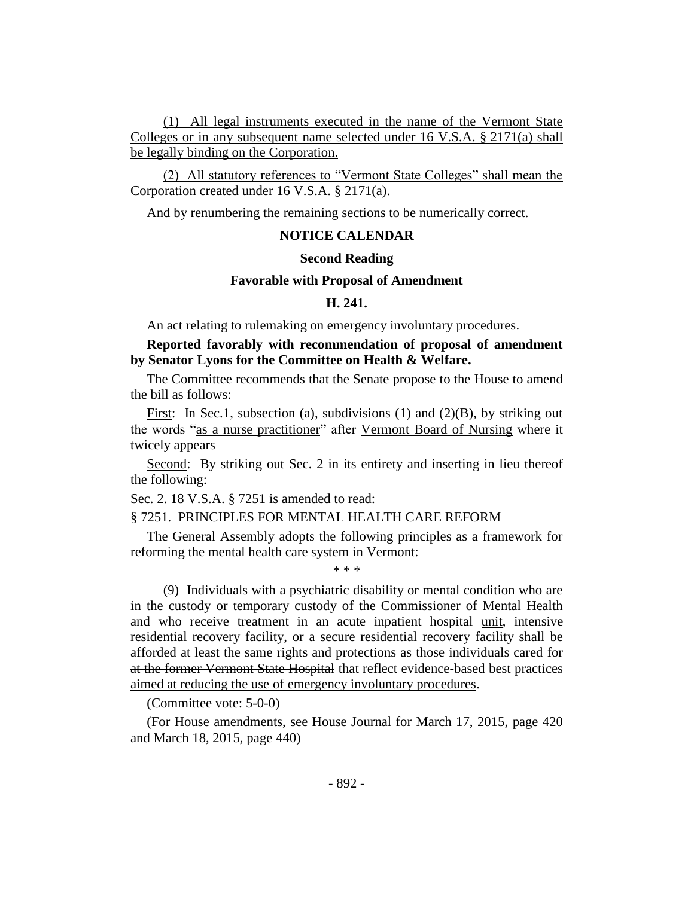(1) All legal instruments executed in the name of the Vermont State Colleges or in any subsequent name selected under 16 V.S.A. § 2171(a) shall be legally binding on the Corporation.

(2) All statutory references to "Vermont State Colleges" shall mean the Corporation created under 16 V.S.A. § 2171(a).

And by renumbering the remaining sections to be numerically correct.

## **NOTICE CALENDAR**

#### **Second Reading**

#### **Favorable with Proposal of Amendment**

#### **H. 241.**

An act relating to rulemaking on emergency involuntary procedures.

## **Reported favorably with recommendation of proposal of amendment by Senator Lyons for the Committee on Health & Welfare.**

The Committee recommends that the Senate propose to the House to amend the bill as follows:

First: In Sec.1, subsection (a), subdivisions (1) and (2)(B), by striking out the words "as a nurse practitioner" after Vermont Board of Nursing where it twicely appears

Second: By striking out Sec. 2 in its entirety and inserting in lieu thereof the following:

Sec. 2. 18 V.S.A. § 7251 is amended to read:

#### § 7251. PRINCIPLES FOR MENTAL HEALTH CARE REFORM

The General Assembly adopts the following principles as a framework for reforming the mental health care system in Vermont:

\* \* \*

(9) Individuals with a psychiatric disability or mental condition who are in the custody or temporary custody of the Commissioner of Mental Health and who receive treatment in an acute inpatient hospital unit, intensive residential recovery facility, or a secure residential recovery facility shall be afforded at least the same rights and protections as those individuals cared for at the former Vermont State Hospital that reflect evidence-based best practices aimed at reducing the use of emergency involuntary procedures.

(Committee vote: 5-0-0)

(For House amendments, see House Journal for March 17, 2015, page 420 and March 18, 2015, page 440)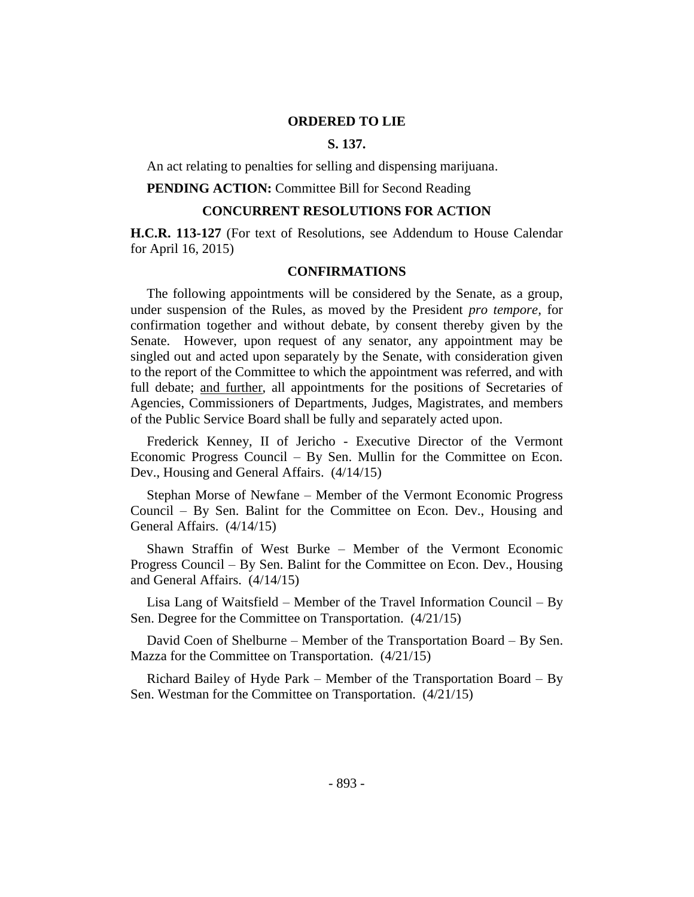#### **ORDERED TO LIE**

## **S. 137.**

An act relating to penalties for selling and dispensing marijuana.

**PENDING ACTION:** Committee Bill for Second Reading

## **CONCURRENT RESOLUTIONS FOR ACTION**

**H.C.R. 113-127** (For text of Resolutions, see Addendum to House Calendar for April 16, 2015)

## **CONFIRMATIONS**

The following appointments will be considered by the Senate, as a group, under suspension of the Rules, as moved by the President *pro tempore,* for confirmation together and without debate, by consent thereby given by the Senate. However, upon request of any senator, any appointment may be singled out and acted upon separately by the Senate, with consideration given to the report of the Committee to which the appointment was referred, and with full debate; and further, all appointments for the positions of Secretaries of Agencies, Commissioners of Departments, Judges, Magistrates, and members of the Public Service Board shall be fully and separately acted upon.

Frederick Kenney, II of Jericho - Executive Director of the Vermont Economic Progress Council – By Sen. Mullin for the Committee on Econ. Dev., Housing and General Affairs. (4/14/15)

Stephan Morse of Newfane – Member of the Vermont Economic Progress Council – By Sen. Balint for the Committee on Econ. Dev., Housing and General Affairs. (4/14/15)

Shawn Straffin of West Burke – Member of the Vermont Economic Progress Council – By Sen. Balint for the Committee on Econ. Dev., Housing and General Affairs. (4/14/15)

Lisa Lang of Waitsfield – Member of the Travel Information Council – By Sen. Degree for the Committee on Transportation. (4/21/15)

David Coen of Shelburne – Member of the Transportation Board – By Sen. Mazza for the Committee on Transportation. (4/21/15)

Richard Bailey of Hyde Park – Member of the Transportation Board – By Sen. Westman for the Committee on Transportation. (4/21/15)